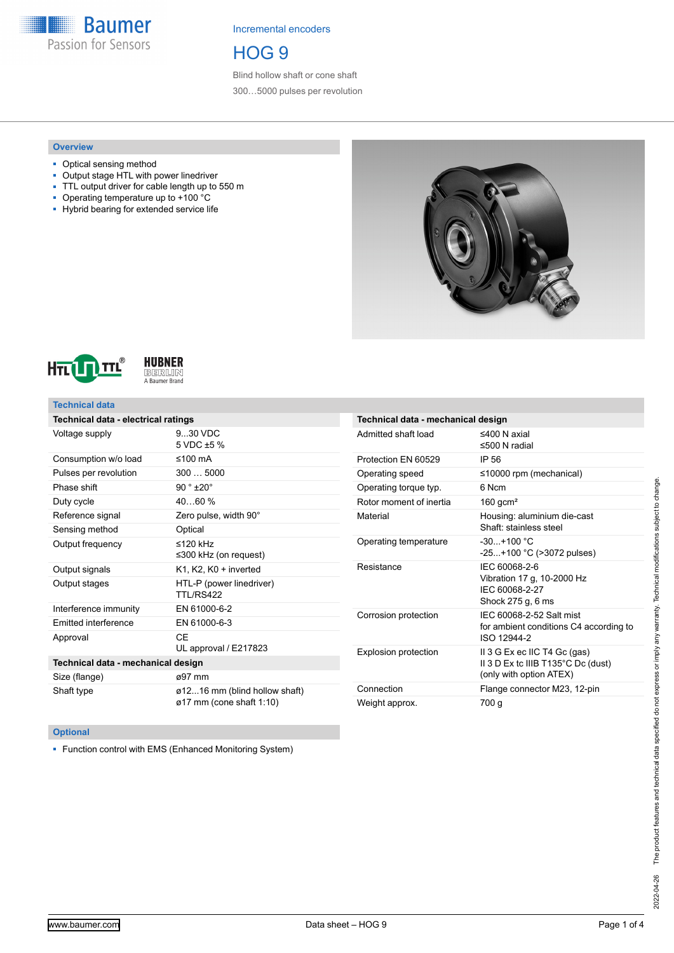**Baumer** Passion for Sensors

Incremental encoders

HOG 9

Blind hollow shaft or cone shaft 300…5000 pulses per revolution

### **Overview**

- Optical sensing method
- Output stage HTL with power linedriver
- TTL output driver for cable length up to 550 m
- Operating temperature up to +100 °C
- Hybrid bearing for extended service life







## **Technical data**

| Technical data - electrical ratings |                                                           |  |  |
|-------------------------------------|-----------------------------------------------------------|--|--|
| Voltage supply                      | 9 30 VDC<br>5 VDC ±5 %                                    |  |  |
| Consumption w/o load                | ≤100 $mA$                                                 |  |  |
| Pulses per revolution               | $300 - 5000$                                              |  |  |
| Phase shift                         | $90 °$ ±20°                                               |  |  |
| Duty cycle                          | 4060%                                                     |  |  |
| Reference signal                    | Zero pulse, width 90°                                     |  |  |
| Sensing method                      | Optical                                                   |  |  |
| Output frequency                    | $\leq$ 120 kHz<br>$\leq$ 300 kHz (on request)             |  |  |
| Output signals                      | K1, K2, K0 + inverted                                     |  |  |
| Output stages                       | HTL-P (power linedriver)<br><b>TTI /RS422</b>             |  |  |
| Interference immunity               | EN 61000-6-2                                              |  |  |
| <b>Emitted interference</b>         | EN 61000-6-3                                              |  |  |
| Approval                            | CF<br>UL approval / E217823                               |  |  |
| Technical data - mechanical design  |                                                           |  |  |
| Size (flange)                       | ø97 mm                                                    |  |  |
| Shaft type                          | ø1216 mm (blind hollow shaft)<br>ø17 mm (cone shaft 1:10) |  |  |

| Technical data - mechanical design |                                                                                               |  |
|------------------------------------|-----------------------------------------------------------------------------------------------|--|
| Admitted shaft load                | ≤400 N axial<br>$\leq$ 500 N radial                                                           |  |
| Protection EN 60529                | IP 56                                                                                         |  |
| Operating speed                    | $\leq$ 10000 rpm (mechanical)                                                                 |  |
| Operating torque typ.              | 6 Ncm                                                                                         |  |
| Rotor moment of inertia            | 160 gcm <sup>2</sup>                                                                          |  |
| Material                           | Housing: aluminium die-cast<br>Shaft: stainless steel                                         |  |
| Operating temperature              | $-30 + 100 °C$<br>$-25+100$ °C (>3072 pulses)                                                 |  |
| Resistance                         | IFC 60068-2-6<br>Vibration 17 g, 10-2000 Hz<br>IFC 60068-2-27<br>Shock 275 g, 6 ms            |  |
| Corrosion protection               | IEC 60068-2-52 Salt mist<br>for ambient conditions C4 according to<br>ISO 12944-2             |  |
| <b>Explosion protection</b>        | II 3 G Ex ec IIC T4 Gc (gas)<br>II 3 D Ex to IIIB T135°C Dc (dust)<br>(only with option ATEX) |  |
| Connection                         | Flange connector M23, 12-pin                                                                  |  |
| Weight approx.                     | 700 g                                                                                         |  |

## **Optional**

■ Function control with EMS (Enhanced Monitoring System)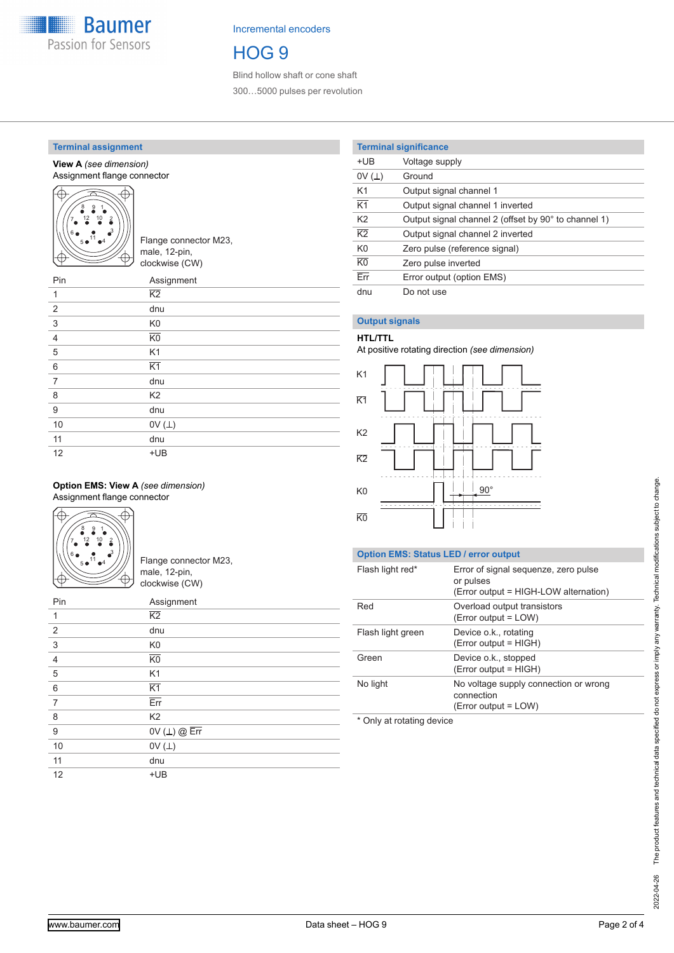

Incremental encoders

# HOG 9

Blind hollow shaft or cone shaft 300…5000 pulses per revolution

## **Terminal assignment**

**View A** *(see dimension)* Assignment flange connector



| Pin            | Assignment      |
|----------------|-----------------|
| 1              | $\overline{K2}$ |
| 2              | dnu             |
| 3              | K <sub>0</sub>  |
| $\overline{4}$ | K <sub>0</sub>  |
| 5              | K <sub>1</sub>  |
| 6              | $\overline{K1}$ |
| $\overline{7}$ | dnu             |
| 8              | K <sub>2</sub>  |
| 9              | dnu             |
| 10             | OV $(\perp)$    |
| 11             | dnu             |
| 12             | $+UB$           |

### **Option EMS: View A** *(see dimension)* Assignment flange connector



Flange connector M23, male, 12-pin, clockwise (CW)

| Pin            | Assignment                  |
|----------------|-----------------------------|
| 1              | $\overline{K2}$             |
| 2              | dnu                         |
| 3              | K <sub>0</sub>              |
| $\overline{4}$ | $\overline{K0}$             |
| 5              | K1                          |
| 6              | $\overline{K1}$             |
| 7              | Err                         |
| 8              | K <sub>2</sub>              |
| 9              | OV $(L)$ @ $\overline{Err}$ |
| 10             | OV $(\perp)$                |
| 11             | dnu                         |
| 12             | $+UB$                       |

## **Terminal significance**

| $+UB$           | Voltage supply                                       |
|-----------------|------------------------------------------------------|
| 0V(L)           | Ground                                               |
| K <sub>1</sub>  | Output signal channel 1                              |
| $\overline{K1}$ | Output signal channel 1 inverted                     |
| K <sub>2</sub>  | Output signal channel 2 (offset by 90° to channel 1) |
| $\overline{K2}$ | Output signal channel 2 inverted                     |
| K <sub>0</sub>  | Zero pulse (reference signal)                        |
| K <sub>0</sub>  | Zero pulse inverted                                  |
| Err             | Error output (option EMS)                            |
| dnu             | Do not use                                           |
|                 |                                                      |

## **Output signals**

## **HTL/TTL**

At positive rotating direction *(see dimension)*



## **Option EMS: Status LED / error output**

| Flash light red*  | Error of signal sequenze, zero pulse<br>or pulses<br>(Error output = HIGH-LOW alternation) |
|-------------------|--------------------------------------------------------------------------------------------|
| Red               | Overload output transistors<br>(Error output = LOW)                                        |
| Flash light green | Device o.k., rotating<br>(Error output = HIGH)                                             |
| Green             | Device o.k., stopped<br>(Error output = HIGH)                                              |
| No light          | No voltage supply connection or wrong<br>connection<br>$(Error output = LOW)$              |
|                   |                                                                                            |

\* Only at rotating device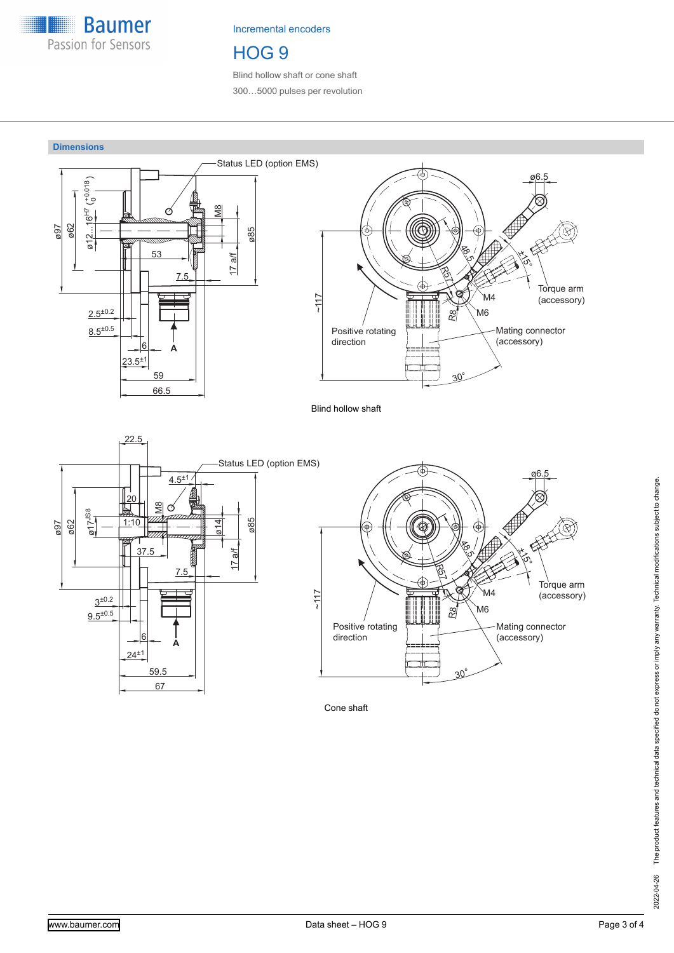

Incremental encoders

# HOG 9

Blind hollow shaft or cone shaft 300…5000 pulses per revolution



Cone shaft